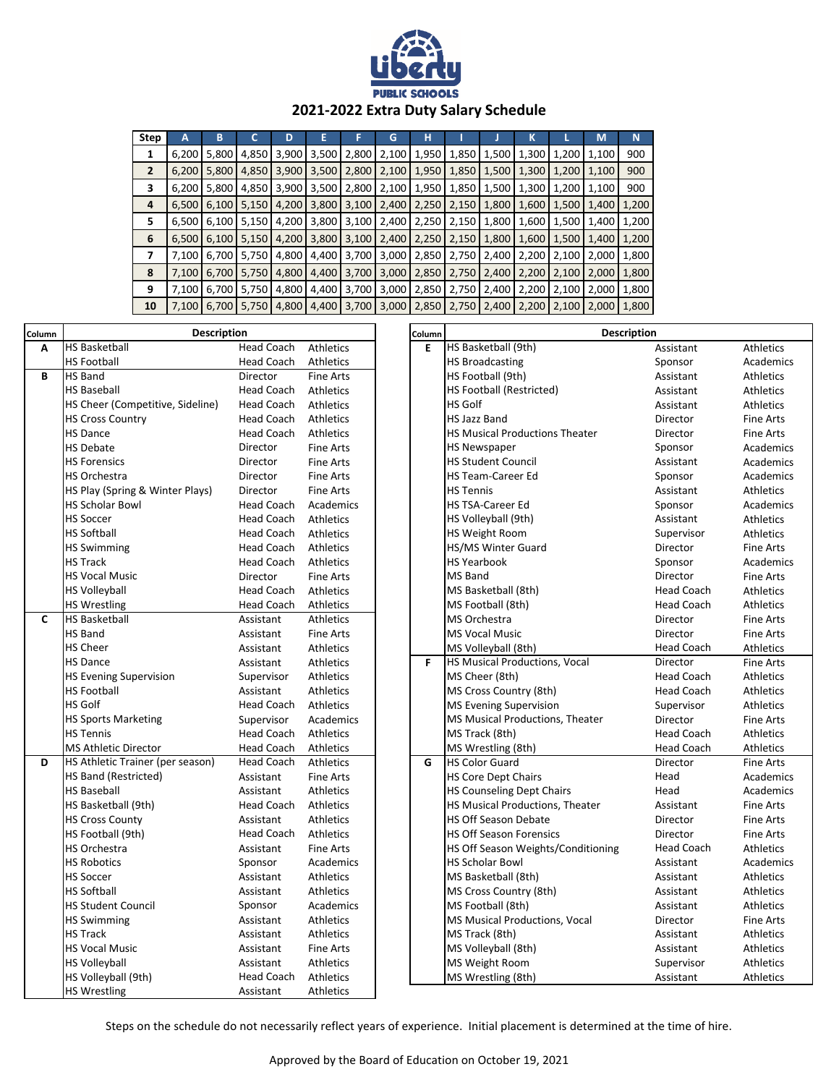

## **2021-2022 Extra Duty Salary Schedule**

| <b>Step</b>    | А     | В     |               | D     | E     | F     | G           | н     |       |       | κ     |       | M     | N     |
|----------------|-------|-------|---------------|-------|-------|-------|-------------|-------|-------|-------|-------|-------|-------|-------|
| 1              | 6,200 | 5,800 | 4,850         | 3,900 | 3,500 | 2,800 | 2,100       | 1,950 | 1,850 | 1,500 | 1,300 | 1,200 | 1,100 | 900   |
| $\overline{2}$ | 6,200 | 5,800 | 4,850         | 3,900 | 3,500 | 2,800 | 2,100       | 1,950 | 1,850 | 1,500 | 1,300 | 1,200 | 1,100 | 900   |
| 3              | 6,200 | 5,800 | 4,850         | 3,900 | 3,500 | 2,800 | 2,100       | 1,950 | 1,850 | 1,500 | 1,300 | 1,200 | 1,100 | 900   |
| 4              | 6,500 | 6,100 | 5,150         | 4,200 | 3,800 | 3,100 | 2,400       | 2,250 | 2,150 | 1,800 | 1,600 | 1,500 | 1,400 | 1,200 |
| 5              | 6,500 | 6,100 | 5,150         | 4,200 | 3,800 |       | 3,100 2,400 | 2,250 | 2,150 | 1,800 | 1,600 | 1,500 | 1,400 | 1,200 |
| 6              | 6,500 | 6,100 | 5,150         | 4,200 | 3,800 | 3,100 | 2,400       | 2,250 | 2,150 | 1,800 | 1,600 | 1,500 | 1,400 | 1,200 |
| 7              | 7,100 | 6,700 | 5,750         | 4,800 | 4,400 | 3,700 | 3,000       | 2,850 | 2,750 | 2,400 | 2,200 | 2,100 | 2,000 | 1,800 |
| 8              | 7,100 | 6,700 | 5,750         | 4,800 | 4,400 | 3,700 | 3,000       | 2,850 | 2,750 | 2,400 | 2,200 | 2,100 | 2,000 | 1,800 |
| 9              | 7,100 | 6,700 | 5,750         | 4,800 | 4,400 |       | 3,700 3,000 | 2,850 | 2,750 | 2,400 | 2,200 | 2,100 | 2,000 | 1,800 |
| 10             | 7.100 |       | 6,700   5,750 | 4,800 | 4,400 | 3,700 | 3,000       | 2,850 | 2,750 | 2,400 | 2,200 | 2,100 | 2,000 | 1,800 |

| Column | <b>Description</b>               |                   |                  |  | Column | <b>Description</b>                    |                   |                  |  |
|--------|----------------------------------|-------------------|------------------|--|--------|---------------------------------------|-------------------|------------------|--|
| A      | <b>HS Basketball</b>             | <b>Head Coach</b> | Athletics        |  | E.     | HS Basketball (9th)                   | Assistant         | Athletics        |  |
|        | <b>HS Football</b>               | <b>Head Coach</b> | Athletics        |  |        | <b>HS Broadcasting</b>                | Sponsor           | Academics        |  |
| B      | <b>HS Band</b>                   | <b>Director</b>   | Fine Arts        |  |        | HS Football (9th)                     | Assistant         | <b>Athletics</b> |  |
|        | <b>HS Baseball</b>               | <b>Head Coach</b> | Athletics        |  |        | <b>HS Football (Restricted)</b>       | Assistant         | Athletics        |  |
|        | HS Cheer (Competitive, Sideline) | <b>Head Coach</b> | Athletics        |  |        | <b>HS Golf</b>                        | Assistant         | Athletics        |  |
|        | <b>HS Cross Country</b>          | <b>Head Coach</b> | Athletics        |  |        | <b>HS Jazz Band</b>                   | Director          | <b>Fine Arts</b> |  |
|        | <b>HS Dance</b>                  | <b>Head Coach</b> | Athletics        |  |        | <b>HS Musical Productions Theater</b> | Director          | <b>Fine Arts</b> |  |
|        | <b>HS Debate</b>                 | Director          | Fine Arts        |  |        | <b>HS Newspaper</b>                   | Sponsor           | Academics        |  |
|        | <b>HS Forensics</b>              | Director          | Fine Arts        |  |        | <b>HS Student Council</b>             | Assistant         | Academics        |  |
|        | <b>HS Orchestra</b>              | Director          | <b>Fine Arts</b> |  |        | <b>HS Team-Career Ed</b>              | Sponsor           | Academics        |  |
|        | HS Play (Spring & Winter Plays)  | Director          | Fine Arts        |  |        | <b>HS Tennis</b>                      | Assistant         | Athletics        |  |
|        | <b>HS Scholar Bowl</b>           | <b>Head Coach</b> | Academics        |  |        | <b>HS TSA-Career Ed</b>               | Sponsor           | Academics        |  |
|        | <b>HS Soccer</b>                 | <b>Head Coach</b> | Athletics        |  |        | HS Volleyball (9th)                   | Assistant         | Athletics        |  |
|        | <b>HS Softball</b>               | <b>Head Coach</b> | Athletics        |  |        | <b>HS Weight Room</b>                 | Supervisor        | Athletics        |  |
|        | <b>HS Swimming</b>               | <b>Head Coach</b> | Athletics        |  |        | HS/MS Winter Guard                    | Director          | <b>Fine Arts</b> |  |
|        | <b>HS Track</b>                  | <b>Head Coach</b> | Athletics        |  |        | <b>HS Yearbook</b>                    | Sponsor           | Academics        |  |
|        | <b>HS Vocal Music</b>            | Director          | <b>Fine Arts</b> |  |        | MS Band                               | Director          | <b>Fine Arts</b> |  |
|        | <b>HS Volleyball</b>             | <b>Head Coach</b> | Athletics        |  |        | MS Basketball (8th)                   | <b>Head Coach</b> | Athletics        |  |
|        | <b>HS Wrestling</b>              | <b>Head Coach</b> | Athletics        |  |        | MS Football (8th)                     | <b>Head Coach</b> | <b>Athletics</b> |  |
| C      | <b>HS Basketball</b>             | Assistant         | Athletics        |  |        | <b>MS Orchestra</b>                   | Director          | <b>Fine Arts</b> |  |
|        | <b>HS Band</b>                   | Assistant         | Fine Arts        |  |        | <b>MS Vocal Music</b>                 | Director          | <b>Fine Arts</b> |  |
|        | <b>HS Cheer</b>                  | Assistant         | <b>Athletics</b> |  |        | MS Volleyball (8th)                   | <b>Head Coach</b> | Athletics        |  |
|        | <b>HS Dance</b>                  | Assistant         | Athletics        |  | F.     | <b>HS Musical Productions, Vocal</b>  | Director          | <b>Fine Arts</b> |  |
|        | <b>HS Evening Supervision</b>    | Supervisor        | <b>Athletics</b> |  |        | MS Cheer (8th)                        | <b>Head Coach</b> | <b>Athletics</b> |  |
|        | <b>HS Football</b>               | Assistant         | Athletics        |  |        | MS Cross Country (8th)                | <b>Head Coach</b> | Athletics        |  |
|        | <b>HS Golf</b>                   | Head Coach        | Athletics        |  |        | <b>MS Evening Supervision</b>         | Supervisor        | Athletics        |  |
|        | <b>HS Sports Marketing</b>       | Supervisor        | Academics        |  |        | MS Musical Productions, Theater       | Director          | <b>Fine Arts</b> |  |
|        | <b>HS Tennis</b>                 | <b>Head Coach</b> | Athletics        |  |        | MS Track (8th)                        | <b>Head Coach</b> | <b>Athletics</b> |  |
|        | <b>MS Athletic Director</b>      | <b>Head Coach</b> | Athletics        |  |        | MS Wrestling (8th)                    | <b>Head Coach</b> | Athletics        |  |
| D      | HS Athletic Trainer (per season) | <b>Head Coach</b> | Athletics        |  | G      | <b>HS Color Guard</b>                 | Director          | Fine Arts        |  |
|        | <b>HS Band (Restricted)</b>      | Assistant         | <b>Fine Arts</b> |  |        | <b>HS Core Dept Chairs</b>            | Head              | Academics        |  |
|        | <b>HS Baseball</b>               | Assistant         | Athletics        |  |        | <b>HS Counseling Dept Chairs</b>      | Head              | Academics        |  |
|        | HS Basketball (9th)              | Head Coach        | Athletics        |  |        | HS Musical Productions, Theater       | Assistant         | <b>Fine Arts</b> |  |
|        | <b>HS Cross County</b>           | Assistant         | Athletics        |  |        | HS Off Season Debate                  | Director          | <b>Fine Arts</b> |  |
|        | HS Football (9th)                | Head Coach        | Athletics        |  |        | <b>HS Off Season Forensics</b>        | Director          | <b>Fine Arts</b> |  |
|        | HS Orchestra                     | Assistant         | Fine Arts        |  |        | HS Off Season Weights/Conditioning    | <b>Head Coach</b> | Athletics        |  |
|        | <b>HS Robotics</b>               | Sponsor           | Academics        |  |        | <b>HS Scholar Bowl</b>                | Assistant         | Academics        |  |
|        | <b>HS Soccer</b>                 | Assistant         | <b>Athletics</b> |  |        | MS Basketball (8th)                   | Assistant         | Athletics        |  |
|        | <b>HS Softball</b>               | Assistant         | Athletics        |  |        | MS Cross Country (8th)                | Assistant         | <b>Athletics</b> |  |
|        | <b>HS Student Council</b>        | Sponsor           | Academics        |  |        | MS Football (8th)                     | Assistant         | <b>Athletics</b> |  |
|        | <b>HS Swimming</b>               | Assistant         | Athletics        |  |        | MS Musical Productions, Vocal         | Director          | <b>Fine Arts</b> |  |
|        | <b>HS Track</b>                  | Assistant         | Athletics        |  |        | MS Track (8th)                        | Assistant         | <b>Athletics</b> |  |
|        | <b>HS Vocal Music</b>            | Assistant         | Fine Arts        |  |        | MS Volleyball (8th)                   | Assistant         | Athletics        |  |
|        | <b>HS Volleyball</b>             | Assistant         | Athletics        |  |        | MS Weight Room                        | Supervisor        | <b>Athletics</b> |  |
|        | HS Volleyball (9th)              | Head Coach        | Athletics        |  |        | MS Wrestling (8th)                    | Assistant         | Athletics        |  |
|        | <b>HS Wrestling</b>              | Assistant         | Athletics        |  |        |                                       |                   |                  |  |

Steps on the schedule do not necessarily reflect years of experience. Initial placement is determined at the time of hire.